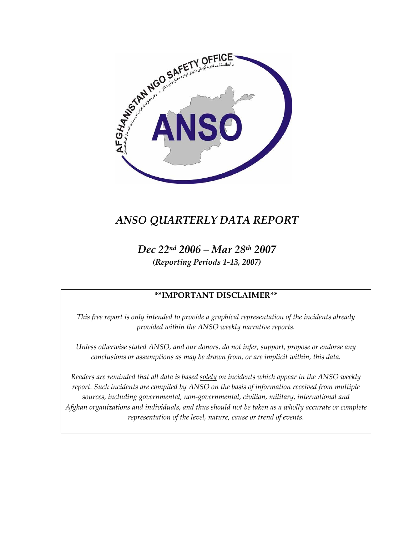

# *ANSO QUARTERLY DATA REPORT*

*Dec 22nd 2006 – Mar 28th 2007 (Reporting Periods 1-13, 2007)* 

### **\*\*IMPORTANT DISCLAIMER\*\***

*This free report is only intended to provide a graphical representation of the incidents already provided within the ANSO weekly narrative reports.* 

*Unless otherwise stated ANSO, and our donors, do not infer, support, propose or endorse any conclusions or assumptions as may be drawn from, or are implicit within, this data.* 

*Readers are reminded that all data is based solely on incidents which appear in the ANSO weekly report. Such incidents are compiled by ANSO on the basis of information received from multiple sources, including governmental, non-governmental, civilian, military, international and Afghan organizations and individuals, and thus should not be taken as a wholly accurate or complete representation of the level, nature, cause or trend of events.*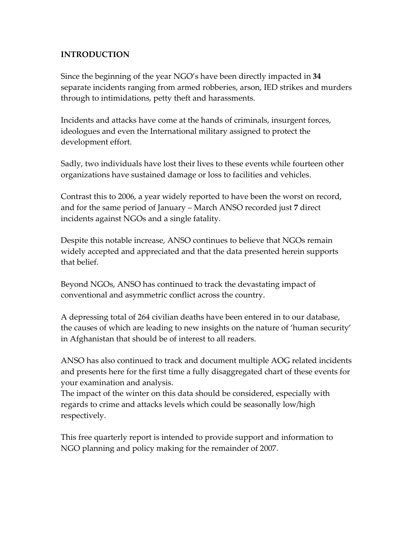#### **INTRODUCTION**

Since the beginning of the year NGO's have been directly impacted in **34**  separate incidents ranging from armed robberies, arson, IED strikes and murders through to intimidations, petty theft and harassments.

Incidents and attacks have come at the hands of criminals, insurgent forces, ideologues and even the International military assigned to protect the development effort.

Sadly, two individuals have lost their lives to these events while fourteen other organizations have sustained damage or loss to facilities and vehicles.

Contrast this to 2006, a year widely reported to have been the worst on record, and for the same period of January – March ANSO recorded just **7** direct incidents against NGOs and a single fatality.

Despite this notable increase, ANSO continues to believe that NGOs remain widely accepted and appreciated and that the data presented herein supports that belief.

Beyond NGOs, ANSO has continued to track the devastating impact of conventional and asymmetric conflict across the country.

A depressing total of 264 civilian deaths have been entered in to our database, the causes of which are leading to new insights on the nature of 'human security' in Afghanistan that should be of interest to all readers.

ANSO has also continued to track and document multiple AOG related incidents and presents here for the first time a fully disaggregated chart of these events for your examination and analysis.

The impact of the winter on this data should be considered, especially with regards to crime and attacks levels which could be seasonally low/high respectively.

This free quarterly report is intended to provide support and information to NGO planning and policy making for the remainder of 2007.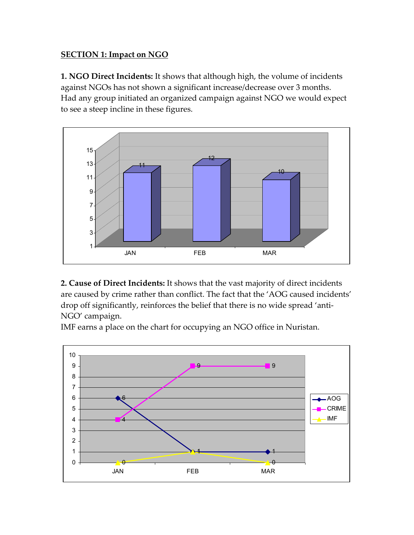### **SECTION 1: Impact on NGO**

**1. NGO Direct Incidents:** It shows that although high, the volume of incidents against NGOs has not shown a significant increase/decrease over 3 months. Had any group initiated an organized campaign against NGO we would expect to see a steep incline in these figures.



**2. Cause of Direct Incidents:** It shows that the vast majority of direct incidents are caused by crime rather than conflict. The fact that the 'AOG caused incidents' drop off significantly, reinforces the belief that there is no wide spread 'anti-NGO' campaign.

IMF earns a place on the chart for occupying an NGO office in Nuristan.

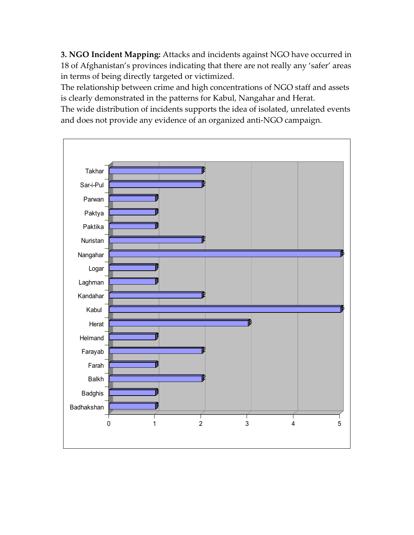**3. NGO Incident Mapping:** Attacks and incidents against NGO have occurred in 18 of Afghanistan's provinces indicating that there are not really any 'safer' areas in terms of being directly targeted or victimized.

The relationship between crime and high concentrations of NGO staff and assets is clearly demonstrated in the patterns for Kabul, Nangahar and Herat.

The wide distribution of incidents supports the idea of isolated, unrelated events and does not provide any evidence of an organized anti-NGO campaign.

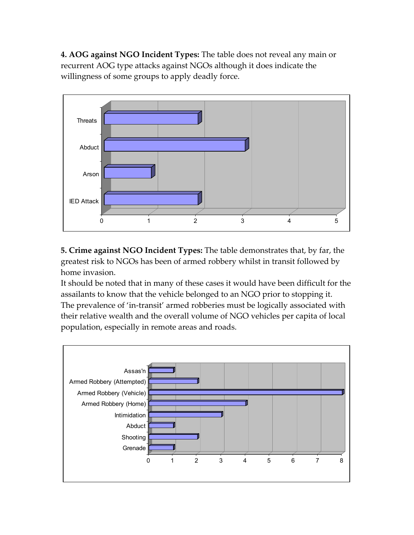**4. AOG against NGO Incident Types:** The table does not reveal any main or recurrent AOG type attacks against NGOs although it does indicate the willingness of some groups to apply deadly force.



**5. Crime against NGO Incident Types:** The table demonstrates that, by far, the greatest risk to NGOs has been of armed robbery whilst in transit followed by home invasion.

It should be noted that in many of these cases it would have been difficult for the assailants to know that the vehicle belonged to an NGO prior to stopping it. The prevalence of 'in-transit' armed robberies must be logically associated with their relative wealth and the overall volume of NGO vehicles per capita of local population, especially in remote areas and roads.

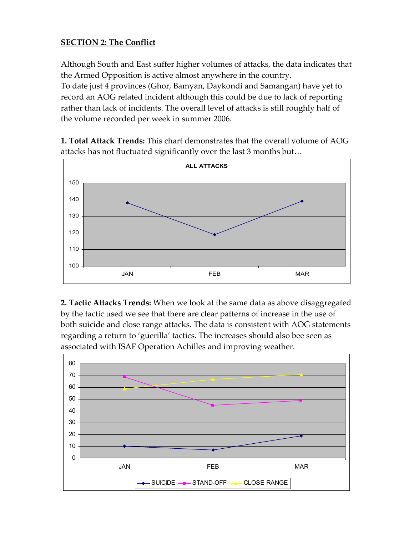#### **SECTION 2: The Conflict**

Although South and East suffer higher volumes of attacks, the data indicates that the Armed Opposition is active almost anywhere in the country. To date just 4 provinces (Ghor, Bamyan, Daykondi and Samangan) have yet to record an AOG related incident although this could be due to lack of reporting rather than lack of incidents. The overall level of attacks is still roughly half of the volume recorded per week in summer 2006.

**1. Total Attack Trends:** This chart demonstrates that the overall volume of AOG attacks has not fluctuated significantly over the last 3 months but…



**2. Tactic Attacks Trends:** When we look at the same data as above disaggregated by the tactic used we see that there are clear patterns of increase in the use of both suicide and close range attacks. The data is consistent with AOG statements regarding a return to 'guerilla' tactics. The increases should also bee seen as associated with ISAF Operation Achilles and improving weather.

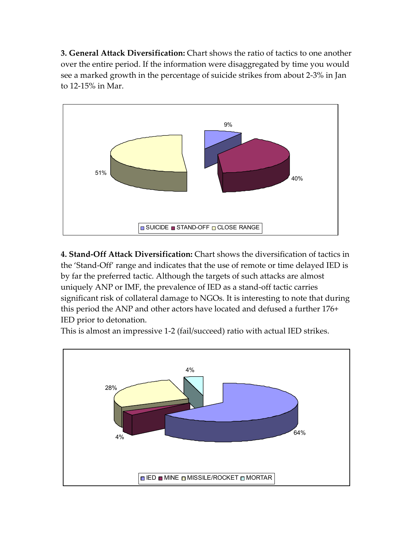**3. General Attack Diversification:** Chart shows the ratio of tactics to one another over the entire period. If the information were disaggregated by time you would see a marked growth in the percentage of suicide strikes from about 2-3% in Jan to 12-15% in Mar.



**4. Stand-Off Attack Diversification:** Chart shows the diversification of tactics in the 'Stand-Off' range and indicates that the use of remote or time delayed IED is by far the preferred tactic. Although the targets of such attacks are almost uniquely ANP or IMF, the prevalence of IED as a stand-off tactic carries significant risk of collateral damage to NGOs. It is interesting to note that during this period the ANP and other actors have located and defused a further 176+ IED prior to detonation.

This is almost an impressive 1-2 (fail/succeed) ratio with actual IED strikes.

![](_page_6_Figure_4.jpeg)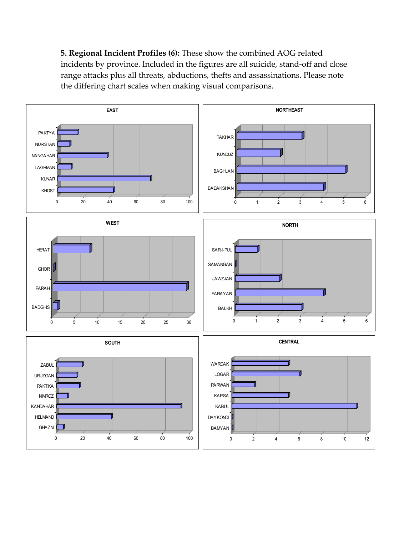**5. Regional Incident Profiles (6):** These show the combined AOG related incidents by province. Included in the figures are all suicide, stand-off and close range attacks plus all threats, abductions, thefts and assassinations. Please note the differing chart scales when making visual comparisons.

![](_page_7_Figure_1.jpeg)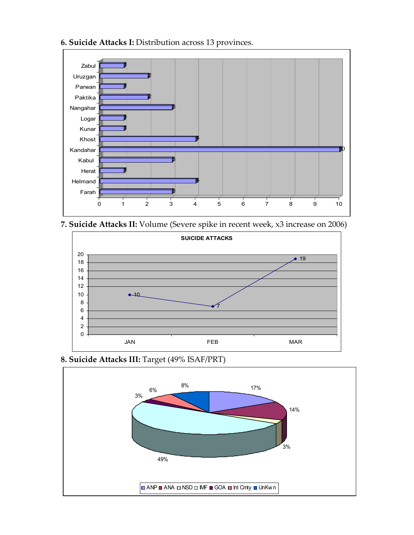![](_page_8_Figure_0.jpeg)

![](_page_8_Figure_1.jpeg)

**7. Suicide Attacks II:** Volume (Severe spike in recent week, x3 increase on 2006)

![](_page_8_Figure_3.jpeg)

## **8. Suicide Attacks III:** Target (49% ISAF/PRT)

![](_page_8_Figure_5.jpeg)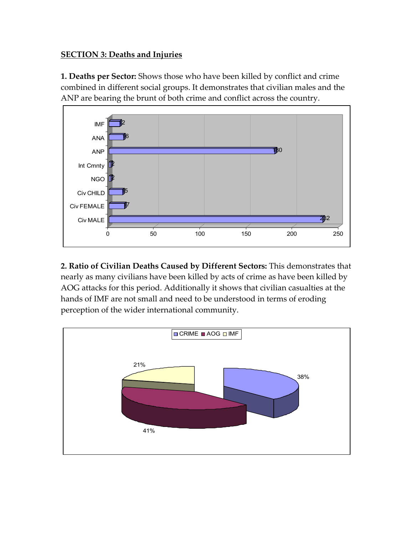## **SECTION 3: Deaths and Injuries**

**1. Deaths per Sector:** Shows those who have been killed by conflict and crime combined in different social groups. It demonstrates that civilian males and the ANP are bearing the brunt of both crime and conflict across the country.

![](_page_9_Figure_2.jpeg)

**2. Ratio of Civilian Deaths Caused by Different Sectors:** This demonstrates that nearly as many civilians have been killed by acts of crime as have been killed by AOG attacks for this period. Additionally it shows that civilian casualties at the hands of IMF are not small and need to be understood in terms of eroding perception of the wider international community.

![](_page_9_Figure_4.jpeg)